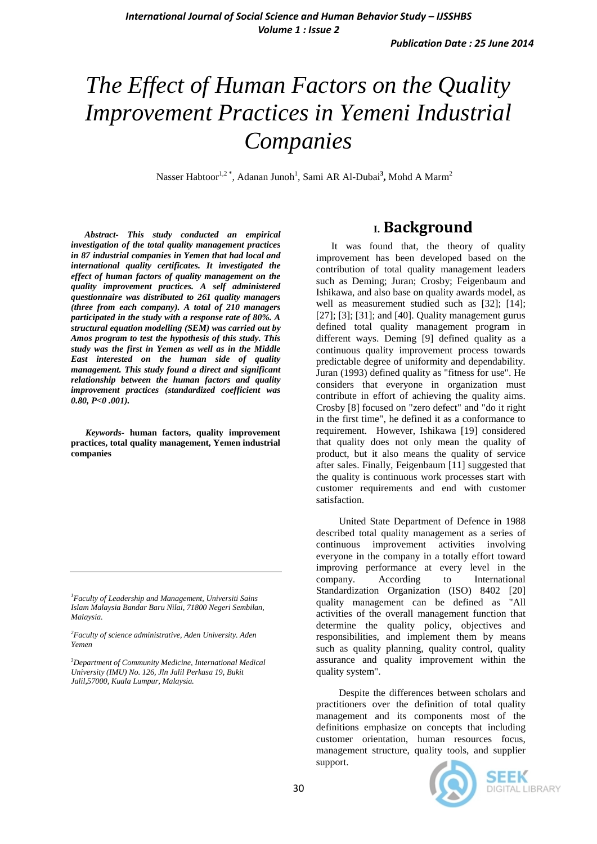# *The Effect of Human Factors on the Quality Improvement Practices in Yemeni Industrial Companies*

Nasser Habtoor<sup>1,2\*</sup>, Adanan Junoh<sup>1</sup>, Sami AR Al-Dubai<sup>3</sup>, Mohd A Marm<sup>2</sup>

*Abstract- This study conducted an empirical investigation of the total quality management practices in 87 industrial companies in Yemen that had local and international quality certificates. It investigated the effect of human factors of quality management on the quality improvement practices. A self administered questionnaire was distributed to 261 quality managers (three from each company). A total of 210 managers participated in the study with a response rate of 80%. A structural equation modelling (SEM) was carried out by Amos program to test the hypothesis of this study. This study was the first in Yemen as well as in the Middle East interested on the human side of quality management. This study found a direct and significant relationship between the human factors and quality improvement practices (standardized coefficient was 0.80, P<0 .001).*

*Keywords-* **human factors, quality improvement practices, total quality management, Yemen industrial companies**

*<sup>3</sup>Department of Community Medicine, International Medical University (IMU) No. 126, Jln Jalil Perkasa 19, Bukit Jalil,57000, Kuala Lumpur, Malaysia.*

# **I. Background**

 It was found that, the theory of quality improvement has been developed based on the contribution of total quality management leaders such as Deming; Juran; Crosby; Feigenbaum and Ishikawa, and also base on quality awards model, as well as measurement studied such as [32]; [14]; [27]; [3]; [31]; and [40]. Quality management gurus defined total quality management program in different ways. Deming [9] defined quality as a continuous quality improvement process towards predictable degree of uniformity and dependability. Juran (1993) defined quality as "fitness for use". He considers that everyone in organization must contribute in effort of achieving the quality aims. Crosby [8] focused on "zero defect" and "do it right in the first time", he defined it as a conformance to requirement. However, Ishikawa [19] considered that quality does not only mean the quality of product, but it also means the quality of service after sales. Finally, Feigenbaum [11] suggested that the quality is continuous work processes start with customer requirements and end with customer satisfaction.

 United State Department of Defence in 1988 described total quality management as a series of continuous improvement activities involving everyone in the company in a totally effort toward improving performance at every level in the company. According to International Standardization Organization (ISO) 8402 [20] quality management can be defined as "All activities of the overall management function that determine the quality policy, objectives and responsibilities, and implement them by means such as quality planning, quality control, quality assurance and quality improvement within the quality system".

 Despite the differences between scholars and practitioners over the definition of total quality management and its components most of the definitions emphasize on concepts that including customer orientation, human resources focus, management structure, quality tools, and supplier support.





*<sup>1</sup>Faculty of Leadership and Management, Universiti Sains Islam Malaysia Bandar Baru Nilai, 71800 Negeri Sembilan, Malaysia.*

*<sup>2</sup>Faculty of science administrative, Aden University. Aden Yemen*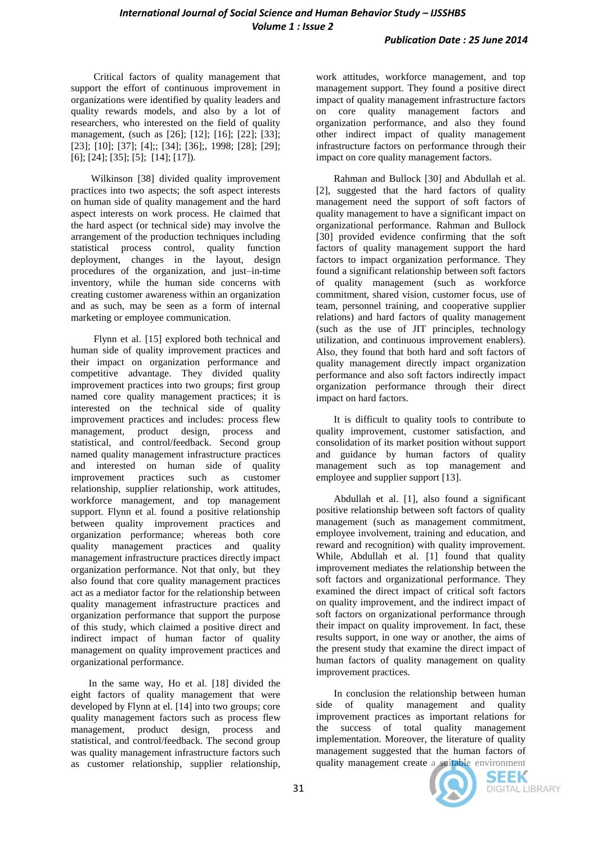Critical factors of quality management that support the effort of continuous improvement in organizations were identified by quality leaders and quality rewards models, and also by a lot of researchers, who interested on the field of quality management, (such as [26]; [12]; [16]; [22]; [33]; [23]; [10]; [37]; [4];; [34]; [36];, 1998; [28]; [29]; [6]; [24]; [35]; [5]; [14]; [17]).

 Wilkinson [38] divided quality improvement practices into two aspects; the soft aspect interests on human side of quality management and the hard aspect interests on work process. He claimed that the hard aspect (or technical side) may involve the arrangement of the production techniques including statistical process control, quality function deployment, changes in the layout, design procedures of the organization, and just–in-time inventory, while the human side concerns with creating customer awareness within an organization and as such, may be seen as a form of internal marketing or employee communication.

 Flynn et al. [15] explored both technical and human side of quality improvement practices and their impact on organization performance and competitive advantage. They divided quality improvement practices into two groups; first group named core quality management practices; it is interested on the technical side of quality improvement practices and includes: process flew management, product design, process and statistical, and control/feedback. Second group named quality management infrastructure practices and interested on human side of quality improvement practices such as customer relationship, supplier relationship, work attitudes, workforce management, and top management support. Flynn et al. found a positive relationship between quality improvement practices and organization performance; whereas both core quality management practices and quality management infrastructure practices directly impact organization performance. Not that only, but they also found that core quality management practices act as a mediator factor for the relationship between quality management infrastructure practices and organization performance that support the purpose of this study, which claimed a positive direct and indirect impact of human factor of quality management on quality improvement practices and organizational performance.

 In the same way, Ho et al. [18] divided the eight factors of quality management that were developed by Flynn at el. [14] into two groups; core quality management factors such as process flew management, product design, process and statistical, and control/feedback. The second group was quality management infrastructure factors such as customer relationship, supplier relationship,

work attitudes, workforce management, and top management support. They found a positive direct impact of quality management infrastructure factors on core quality management factors and organization performance, and also they found other indirect impact of quality management infrastructure factors on performance through their impact on core quality management factors.

 Rahman and Bullock [30] and Abdullah et al. [2], suggested that the hard factors of quality management need the support of soft factors of quality management to have a significant impact on organizational performance. Rahman and Bullock [30] provided evidence confirming that the soft factors of quality management support the hard factors to impact organization performance. They found a significant relationship between soft factors of quality management (such as workforce commitment, shared vision, customer focus, use of team, personnel training, and cooperative supplier relations) and hard factors of quality management (such as the use of JIT principles, technology utilization, and continuous improvement enablers). Also, they found that both hard and soft factors of quality management directly impact organization performance and also soft factors indirectly impact organization performance through their direct impact on hard factors.

 It is difficult to quality tools to contribute to quality improvement, customer satisfaction, and consolidation of its market position without support and guidance by human factors of quality management such as top management and employee and supplier support [13].

 Abdullah et al. [1], also found a significant positive relationship between soft factors of quality management (such as management commitment, employee involvement, training and education, and reward and recognition) with quality improvement. While, Abdullah et al. [1] found that quality improvement mediates the relationship between the soft factors and organizational performance. They examined the direct impact of critical soft factors on quality improvement, and the indirect impact of soft factors on organizational performance through their impact on quality improvement. In fact, these results support, in one way or another, the aims of the present study that examine the direct impact of human factors of quality management on quality improvement practices.

 In conclusion the relationship between human side of quality management and quality improvement practices as important relations for the success of total quality management implementation. Moreover, the literature of quality management suggested that the human factors of quality management create a suitable environment



SEEK **DIGITAL LIBRARY**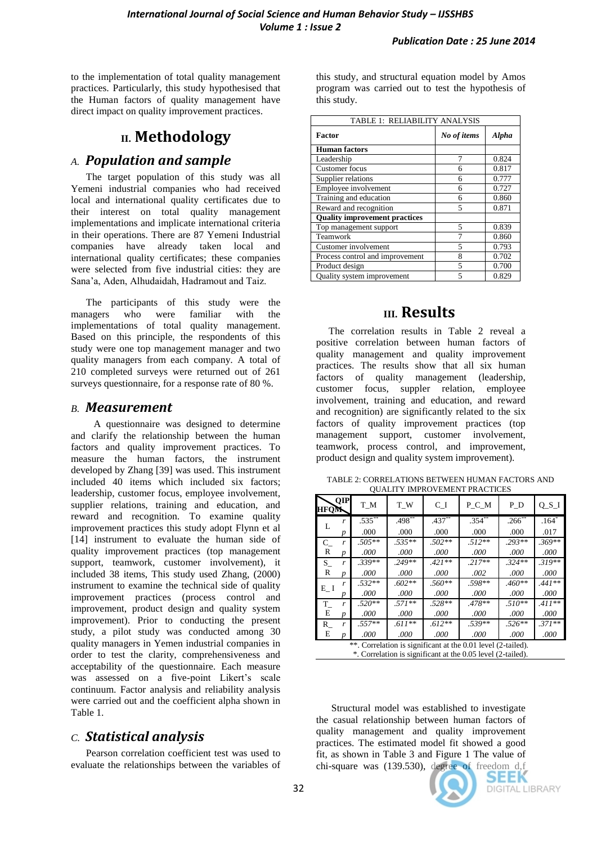to the implementation of total quality management practices. Particularly, this study hypothesised that the Human factors of quality management have direct impact on quality improvement practices.

# **II. Methodology**

## *A. Population and sample*

 The target population of this study was all Yemeni industrial companies who had received local and international quality certificates due to their interest on total quality management implementations and implicate international criteria in their operations. There are 87 Yemeni Industrial companies have already taken local and international quality certificates; these companies were selected from five industrial cities: they are Sana"a, Aden, Alhudaidah, Hadramout and Taiz.

 The participants of this study were the managers who were familiar with the implementations of total quality management. Based on this principle, the respondents of this study were one top management manager and two quality managers from each company. A total of 210 completed surveys were returned out of 261 surveys questionnaire, for a response rate of 80 %.

#### *B. Measurement*

 A questionnaire was designed to determine and clarify the relationship between the human factors and quality improvement practices. To measure the human factors, the instrument developed by Zhang [39] was used. This instrument included 40 items which included six factors; leadership, customer focus, employee involvement, supplier relations, training and education, and reward and recognition. To examine quality improvement practices this study adopt Flynn et al [14] instrument to evaluate the human side of quality improvement practices (top management support, teamwork, customer involvement), it included 38 items, This study used Zhang, (2000) instrument to examine the technical side of quality improvement practices (process control and improvement, product design and quality system improvement). Prior to conducting the present study, a pilot study was conducted among 30 quality managers in Yemen industrial companies in order to test the clarity, comprehensiveness and acceptability of the questionnaire. Each measure was assessed on a five-point Likert's scale continuum. Factor analysis and reliability analysis were carried out and the coefficient alpha shown in Table 1.

## *C. Statistical analysis*

 Pearson correlation coefficient test was used to evaluate the relationships between the variables of

this study, and structural equation model by Amos program was carried out to test the hypothesis of this study.

| TABLE 1: RELIABILITY ANALYSIS        |             |       |  |  |  |  |
|--------------------------------------|-------------|-------|--|--|--|--|
| Factor                               | No of items | Alpha |  |  |  |  |
| <b>Human</b> factors                 |             |       |  |  |  |  |
| Leadership                           |             | 0.824 |  |  |  |  |
| <b>Customer</b> focus                | 6           | 0.817 |  |  |  |  |
| Supplier relations                   | 6           | 0.777 |  |  |  |  |
| Employee involvement                 | 6           | 0.727 |  |  |  |  |
| Training and education               | 6           | 0.860 |  |  |  |  |
| Reward and recognition               | 5           | 0.871 |  |  |  |  |
| <b>Quality improvement practices</b> |             |       |  |  |  |  |
| Top management support               | 5           | 0.839 |  |  |  |  |
| Teamwork                             | 7           | 0.860 |  |  |  |  |
| Customer involvement                 | 5           | 0.793 |  |  |  |  |
| Process control and improvement      | 8           | 0.702 |  |  |  |  |
| Product design                       | 5           | 0.700 |  |  |  |  |
| Quality system improvement           | 5           | 0.829 |  |  |  |  |

# **III. Results**

 The correlation results in Table 2 reveal a positive correlation between human factors of quality management and quality improvement practices. The results show that all six human factors of quality management (leadership, customer focus, suppler relation, employee involvement, training and education, and reward and recognition) are significantly related to the six factors of quality improvement practices (top management support, customer involvement, teamwork, process control, and improvement, product design and quality system improvement).

| TABLE 2: CORRELATIONS BETWEEN HUMAN FACTORS AND |  |
|-------------------------------------------------|--|
| <b>OUALITY IMPROVEMENT PRACTICES</b>            |  |

| <b>HFOM</b>                                                  | <b>OIP</b> | T M         | T W      | C I       | P C M     | P D                    | $Q_S I$  |
|--------------------------------------------------------------|------------|-------------|----------|-----------|-----------|------------------------|----------|
|                                                              |            | $.535^{**}$ | $.498**$ | $.437***$ | $.354***$ | $.266^{\overline{**}}$ | $.164*$  |
|                                                              | Ď          | .000        | .000     | .000      | .000      | .000                   | .017     |
| $C_{-}$                                                      | r          | $.505**$    | $.535**$ | $.502**$  | $.512**$  | $.293**$               | $.369**$ |
| R                                                            | n          | .000        | .000     | .000      | .000      | .000                   | .000     |
| S.                                                           | r          | $.339**$    | $.249**$ | $.421**$  | $.217**$  | $.324**$               | $.319**$ |
| R                                                            | Ď          | .000        | .000     | .000.     | .002      | .000                   | .000.    |
| $E_{-}$ I                                                    |            | $.532**$    | $.602**$ | $.560**$  | $.598**$  | $.460**$               | $.441**$ |
|                                                              |            | .000        | .000     | .000      | .000      | .000                   | .000     |
| T                                                            | r          | $.520**$    | $.571**$ | $.528**$  | $.478**$  | $.510**$               | $.411**$ |
| E                                                            | Ď          | .000        | .000     | .000      | .000.     | .000                   | .000     |
| R                                                            | r          | $.557**$    | $.611**$ | $.612**$  | $.539**$  | $.526**$               | $.371**$ |
| E                                                            |            | .000        | .000     | .000      | .000      | .000                   | .000     |
| **. Correlation is significant at the 0.01 level (2-tailed). |            |             |          |           |           |                        |          |

\*. Correlation is significant at the 0.05 level (2-tailed).

 Structural model was established to investigate the casual relationship between human factors of quality management and quality improvement practices. The estimated model fit showed a good fit, as shown in Table 3 and Figure 1 The value of chi-square was (139.530), degree of freedom d,f

> SEEK **DIGITAL LIBRARY**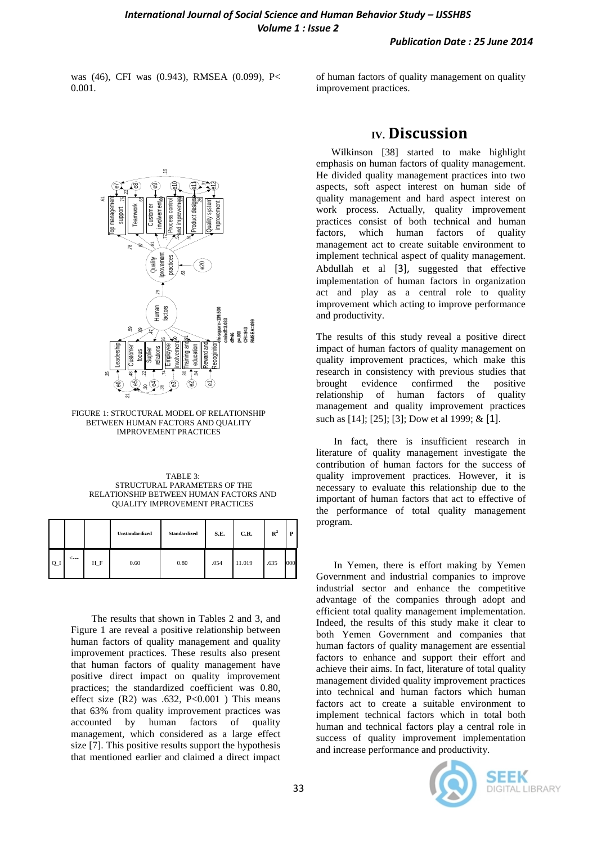#### *Publication Date : 25 June 2014*

was (46), CFI was (0.943), RMSEA (0.099), P< 0.001.

of human factors of quality management on quality improvement practices.



FIGURE 1: STRUCTURAL MODEL OF RELATIONSHIP BETWEEN HUMAN FACTORS AND QUALITY IMPROVEMENT PRACTICES

| TABLE 3                                |
|----------------------------------------|
| STRUCTURAL PARAMETERS OF THE           |
| RELATIONSHIP BETWEEN HUMAN FACTORS AND |
| <b>OUALITY IMPROVEMENT PRACTICES</b>   |

|             |              |       | Unstandardized | Standardized | S.E. | C.R.   | $\mathbb{R}^2$ | P   |
|-------------|--------------|-------|----------------|--------------|------|--------|----------------|-----|
| $Q_{\perp}$ | $\leftarrow$ | $H_F$ | 0.60           | 0.80         | .054 | 11.019 | .635           | 000 |

 The results that shown in Tables 2 and 3, and Figure 1 are reveal a positive relationship between human factors of quality management and quality improvement practices. These results also present that human factors of quality management have positive direct impact on quality improvement practices; the standardized coefficient was 0.80, effect size  $(R2)$  was .632,  $P<0.001$  ) This means that 63% from quality improvement practices was accounted by human factors of quality management, which considered as a large effect size [7]. This positive results support the hypothesis that mentioned earlier and claimed a direct impact

## **IV. Discussion**

 Wilkinson [38] started to make highlight emphasis on human factors of quality management. He divided quality management practices into two aspects, soft aspect interest on human side of quality management and hard aspect interest on work process. Actually, quality improvement practices consist of both technical and human factors, which human factors of quality management act to create suitable environment to implement technical aspect of quality management. Abdullah et al [3], suggested that effective implementation of human factors in organization act and play as a central role to quality improvement which acting to improve performance and productivity.

The results of this study reveal a positive direct impact of human factors of quality management on quality improvement practices, which make this research in consistency with previous studies that brought evidence confirmed the positive relationship of human factors of quality management and quality improvement practices such as [14]; [25]; [3]; Dow et al 1999; & [1].

 In fact, there is insufficient research in literature of quality management investigate the contribution of human factors for the success of quality improvement practices. However, it is necessary to evaluate this relationship due to the important of human factors that act to effective of the performance of total quality management program.

 In Yemen, there is effort making by Yemen Government and industrial companies to improve industrial sector and enhance the competitive advantage of the companies through adopt and efficient total quality management implementation. Indeed, the results of this study make it clear to both Yemen Government and companies that human factors of quality management are essential factors to enhance and support their effort and achieve their aims. In fact, literature of total quality management divided quality improvement practices into technical and human factors which human factors act to create a suitable environment to implement technical factors which in total both human and technical factors play a central role in success of quality improvement implementation and increase performance and productivity.

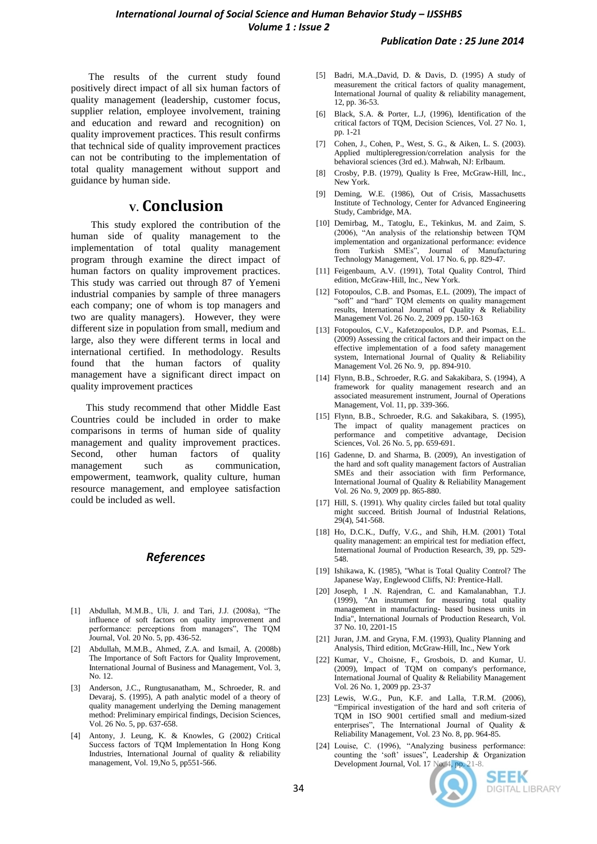The results of the current study found positively direct impact of all six human factors of quality management (leadership, customer focus, supplier relation, employee involvement, training and education and reward and recognition) on quality improvement practices. This result confirms that technical side of quality improvement practices can not be contributing to the implementation of total quality management without support and guidance by human side.

### **V. Conclusion**

 This study explored the contribution of the human side of quality management to the implementation of total quality management program through examine the direct impact of human factors on quality improvement practices. This study was carried out through 87 of Yemeni industrial companies by sample of three managers each company; one of whom is top managers and two are quality managers). However, they were different size in population from small, medium and large, also they were different terms in local and international certified. In methodology. Results found that the human factors of quality management have a significant direct impact on quality improvement practices

 This study recommend that other Middle East Countries could be included in order to make comparisons in terms of human side of quality management and quality improvement practices.<br>Second, other human factors of quality Second, other human factors of quality management such as communication, empowerment, teamwork, quality culture, human resource management, and employee satisfaction could be included as well.

#### *References*

- [1] Abdullah, M.M.B., Uli, J. and Tari, J.J. (2008a), "The influence of soft factors on quality improvement and performance: perceptions from managers", The TQM Journal, Vol. 20 No. 5, pp. 436-52.
- [2] Abdullah, M.M.B., Ahmed, Z.A. and Ismail, A. (2008b) The Importance of Soft Factors for Quality Improvement, International Journal of Business and Management, Vol. 3, No. 12.
- [3] Anderson, J.C., Rungtusanatham, M., Schroeder, R. and Devaraj, S. (1995), A path analytic model of a theory of quality management underlying the Deming management method: Preliminary empirical findings, Decision Sciences, Vol. 26 No. 5, pp. 637-658.
- [4] Antony, J. Leung, K. & Knowles, G (2002) Critical Success factors of TQM Implementation In Hong Kong Industries, International Journal of quality & reliability management, Vol. 19, No 5, pp551-566.
- [5] Badri, M.A.,David, D. & Davis, D. (1995) A study of measurement the critical factors of quality management, International Journal of quality & reliability management, 12, pp. 36-53.
- [6] Black, S.A. & Porter, L.J, (1996), Identification of the critical factors of TQM, Decision Sciences, Vol. 27 No. 1, pp. 1-21
- [7] Cohen, J., Cohen, P., West, S. G., & Aiken, L. S. (2003). Applied multipleregression/correlation analysis for the behavioral sciences (3rd ed.). Mahwah, NJ: Erlbaum.
- [8] Crosby, P.B. (1979), Quality Is Free, McGraw-Hill, Inc., New York.
- [9] Deming, W.E. (1986), Out of Crisis, Massachusetts Institute of Technology, Center for Advanced Engineering Study, Cambridge, MA.
- [10] Demirbag, M., Tatoglu, E., Tekinkus, M. and Zaim, S. (2006), "An analysis of the relationship between TQM implementation and organizational performance: evidence from Turkish SMEs", Journal of Manufacturing Technology Management, Vol. 17 No. 6, pp. 829-47.
- [11] Feigenbaum, A.V. (1991), Total Quality Control, Third edition, McGraw-Hill, Inc., New York.
- [12] Fotopoulos, C.B. and Psomas, E.L. (2009), The impact of "soft" and "hard" TQM elements on quality management results, International Journal of Quality & Reliability Management Vol. 26 No. 2, 2009 pp. 150-163
- [13] Fotopoulos, C.V., Kafetzopoulos, D.P. and Psomas, E.L. (2009) Assessing the critical factors and their impact on the effective implementation of a food safety management system, International Journal of Quality & Reliability Management Vol. 26 No. 9, pp. 894-910.
- [14] Flynn, B.B., Schroeder, R.G. and Sakakibara, S. (1994), A. framework for quality management research and an associated measurement instrument, Journal of Operations Management, Vol. 11, pp. 339-366.
- [15] Flynn, B.B., Schroeder, R.G. and Sakakibara, S. (1995), The impact of quality management practices on performance and competitive advantage, Decision Sciences, Vol. 26 No. 5, pp. 659-691.
- [16] Gadenne, D. and Sharma, B. (2009), An investigation of the hard and soft quality management factors of Australian SMEs and their association with firm Performance, International Journal of Quality & Reliability Management Vol. 26 No. 9, 2009 pp. 865-880.
- [17] Hill, S. (1991). Why quality circles failed but total quality might succeed. British Journal of Industrial Relations, 29(4), 541-568.
- [18] Ho, D.C.K., Duffy, V.G., and Shih, H.M. (2001) Total quality management: an empirical test for mediation effect, International Journal of Production Research, 39, pp. 529- 548.
- [19] Ishikawa, K. (1985), "What is Total Quality Control? The Japanese Way, Englewood Cliffs, NJ: Prentice-Hall.
- [20] Joseph, I .N. Rajendran, C. and Kamalanabhan, T.J. (1999), "An instrument for measuring total quality management in manufacturing- based business units in India", International Journals of Production Research, Vol. 37 No. 10, 2201-15
- [21] Juran, J.M. and Gryna, F.M. (1993), Quality Planning and Analysis, Third edition, McGraw-Hill, Inc., New York
- [22] Kumar, V., Choisne, F., Grosbois, D. and Kumar, U. (2009), Impact of TQM on company's performance, International Journal of Quality & Reliability Management Vol. 26 No. 1, 2009 pp. 23-37
- [23] Lewis, W.G., Pun, K.F. and Lalla, T.R.M. (2006), "Empirical investigation of the hard and soft criteria of TQM in ISO 9001 certified small and medium-sized enterprises", The International Journal of Quality & Reliability Management, Vol. 23 No. 8, pp. 964-85.
- [24] Louise, C. (1996), "Analyzing business performance: counting the "soft" issues", Leadership & Organization Development Journal, Vol. 17 No. 4, pp. 21-8.